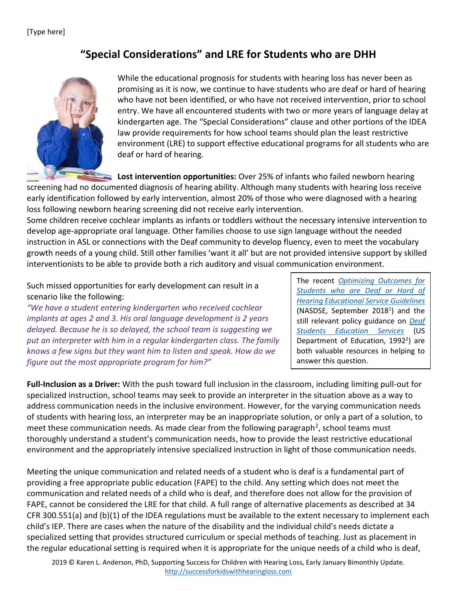## **"Special Considerations" and LRE for Students who are DHH**



While the educational prognosis for students with hearing loss has never been as promising as it is now, we continue to have students who are deaf or hard of hearing who have not been identified, or who have not received intervention, prior to school entry. We have all encountered students with two or more years of language delay at kindergarten age. The "Special Considerations" clause and other portions of the IDEA law provide requirements for how school teams should plan the least restrictive environment (LRE) to support effective educational programs for all students who are deaf or hard of hearing.

**Lost intervention opportunities:** Over 25% of infants who failed newborn hearing

screening had no documented diagnosis of hearing ability. Although many students with hearing loss receive early identification followed by early intervention, almost 20% of those who were diagnosed with a hearing loss following newborn hearing screening did not receive early intervention.

Some children receive cochlear implants as infants or toddlers without the necessary intensive intervention to develop age-appropriate oral language. Other families choose to use sign language without the needed instruction in ASL or connections with the Deaf community to develop fluency, even to meet the vocabulary growth needs of a young child. Still other families 'want it all' but are not provided intensive support by skilled interventionists to be able to provide both a rich auditory and visual communication environment.

Such missed opportunities for early development can result in a scenario like the following:

*"We have a student entering kindergarten who received cochlear implants at ages 2 and 3. His oral language development is 2 years delayed. Because he is so delayed, the school team is suggesting we put an interpreter with him in a regular kindergarten class. The family knows a few signs but they want him to listen and speak. How do we figure out the most appropriate program for him?"*

The recent *[Optimizing Outcomes for](http://www.nasdse.org/LinkClick.aspx?fileticket=so5QDUsOY0U%3D&tabid=36)  [Students who are Deaf or Hard of](http://www.nasdse.org/LinkClick.aspx?fileticket=so5QDUsOY0U%3D&tabid=36)  [Hearing Educational Service Guidelines](http://www.nasdse.org/LinkClick.aspx?fileticket=so5QDUsOY0U%3D&tabid=36)* (NASDSE, September 2018<sup>1</sup>) and the still relevant policy guidance on *[Deaf](https://www2.ed.gov/about/offices/list/ocr/docs/hq9806.html)  [Students Education Services](https://www2.ed.gov/about/offices/list/ocr/docs/hq9806.html)* (US Department of Education,  $1992^2$ ) are both valuable resources in helping to answer this question.

**Full-Inclusion as a Driver:** With the push toward full inclusion in the classroom, including limiting pull-out for specialized instruction, school teams may seek to provide an interpreter in the situation above as a way to address communication needs in the inclusive environment. However, for the varying communication needs of students with hearing loss, an interpreter may be an inappropriate solution, or only a part of a solution, to meet these communication needs. As made clear from the following paragraph<sup>2</sup>, school teams must thoroughly understand a student's communication needs, how to provide the least restrictive educational environment and the appropriately intensive specialized instruction in light of those communication needs.

Meeting the unique communication and related needs of a student who is deaf is a fundamental part of providing a free appropriate public education (FAPE) to the child. Any setting which does not meet the communication and related needs of a child who is deaf, and therefore does not allow for the provision of FAPE, cannot be considered the LRE for that child. A full range of alternative placements as described at 34 CFR 300.551(a) and (b)(1) of the IDEA regulations must be available to the extent necessary to implement each child's IEP. There are cases when the nature of the disability and the individual child's needs dictate a specialized setting that provides structured curriculum or special methods of teaching. Just as placement in the regular educational setting is required when it is appropriate for the unique needs of a child who is deaf,

2019 © Karen L. Anderson, PhD, Supporting Success for Children with Hearing Loss, Early January Bimonthly Update. [http://successforkidswithhearingloss.com](http://successforkidswithhearingloss.com/)